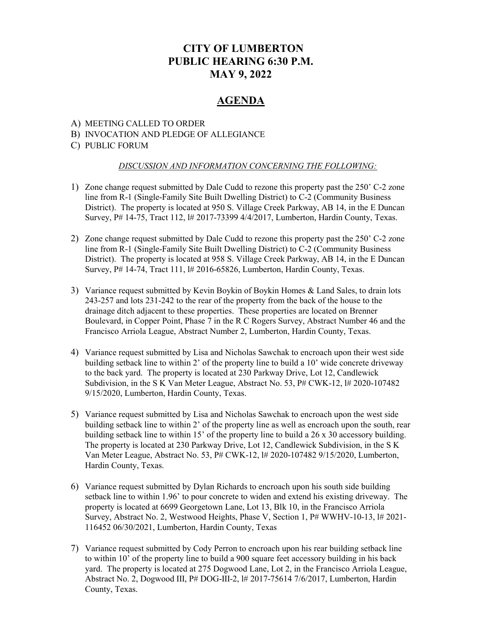# CITY OF LUMBERTON PUBLIC HEARING 6:30 P.M. MAY 9, 2022

## AGENDA

#### A) MEETING CALLED TO ORDER

#### B) INVOCATION AND PLEDGE OF ALLEGIANCE

#### C) PUBLIC FORUM

#### DISCUSSION AND INFORMATION CONCERNING THE FOLLOWING:

- 1) Zone change request submitted by Dale Cudd to rezone this property past the 250' C-2 zone line from R-1 (Single-Family Site Built Dwelling District) to C-2 (Community Business District). The property is located at 950 S. Village Creek Parkway, AB 14, in the E Duncan Survey, P# 14-75, Tract 112, l# 2017-73399 4/4/2017, Lumberton, Hardin County, Texas.
- 2) Zone change request submitted by Dale Cudd to rezone this property past the 250' C-2 zone line from R-1 (Single-Family Site Built Dwelling District) to C-2 (Community Business District). The property is located at 958 S. Village Creek Parkway, AB 14, in the E Duncan Survey, P# 14-74, Tract 111, l# 2016-65826, Lumberton, Hardin County, Texas.
- 3) Variance request submitted by Kevin Boykin of Boykin Homes & Land Sales, to drain lots 243-257 and lots 231-242 to the rear of the property from the back of the house to the drainage ditch adjacent to these properties. These properties are located on Brenner Boulevard, in Copper Point, Phase 7 in the R C Rogers Survey, Abstract Number 46 and the Francisco Arriola League, Abstract Number 2, Lumberton, Hardin County, Texas.
- 4) Variance request submitted by Lisa and Nicholas Sawchak to encroach upon their west side building setback line to within 2' of the property line to build a 10' wide concrete driveway to the back yard. The property is located at 230 Parkway Drive, Lot 12, Candlewick Subdivision, in the S K Van Meter League, Abstract No. 53, P# CWK-12, l# 2020-107482 9/15/2020, Lumberton, Hardin County, Texas.
- 5) Variance request submitted by Lisa and Nicholas Sawchak to encroach upon the west side building setback line to within 2' of the property line as well as encroach upon the south, rear building setback line to within 15' of the property line to build a 26 x 30 accessory building. The property is located at 230 Parkway Drive, Lot 12, Candlewick Subdivision, in the S K Van Meter League, Abstract No. 53, P# CWK-12, l# 2020-107482 9/15/2020, Lumberton, Hardin County, Texas.
- 6) Variance request submitted by Dylan Richards to encroach upon his south side building setback line to within 1.96' to pour concrete to widen and extend his existing driveway. The property is located at 6699 Georgetown Lane, Lot 13, Blk 10, in the Francisco Arriola Survey, Abstract No. 2, Westwood Heights, Phase V, Section 1, P# WWHV-10-13, l# 2021- 116452 06/30/2021, Lumberton, Hardin County, Texas
- 7) Variance request submitted by Cody Perron to encroach upon his rear building setback line to within 10' of the property line to build a 900 square feet accessory building in his back yard. The property is located at 275 Dogwood Lane, Lot 2, in the Francisco Arriola League, Abstract No. 2, Dogwood III, P# DOG-III-2, l# 2017-75614 7/6/2017, Lumberton, Hardin County, Texas.